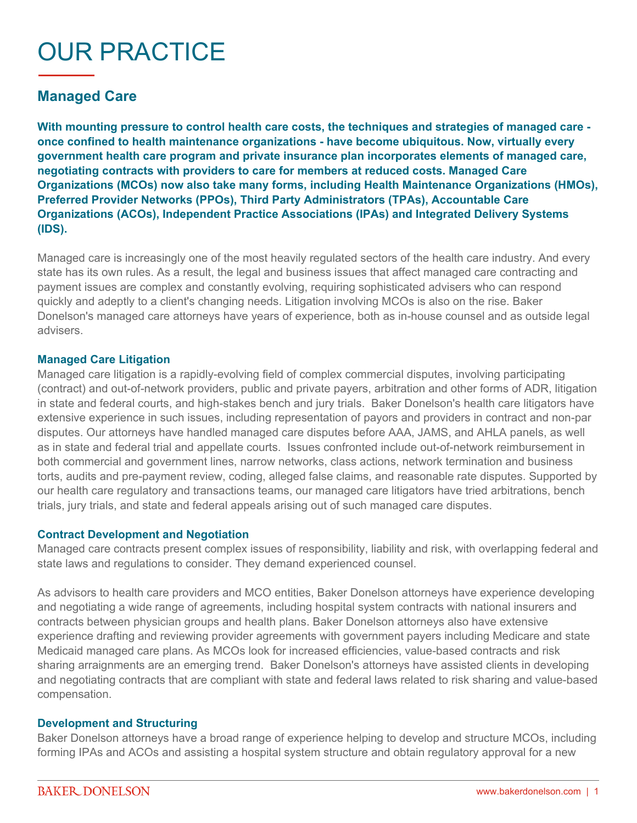# OUR PRACTICE

## **Managed Care**

**With mounting pressure to control health care costs, the techniques and strategies of managed care once confined to health maintenance organizations - have become ubiquitous. Now, virtually every government health care program and private insurance plan incorporates elements of managed care, negotiating contracts with providers to care for members at reduced costs. Managed Care Organizations (MCOs) now also take many forms, including Health Maintenance Organizations (HMOs), Preferred Provider Networks (PPOs), Third Party Administrators (TPAs), Accountable Care Organizations (ACOs), Independent Practice Associations (IPAs) and Integrated Delivery Systems (IDS).**

Managed care is increasingly one of the most heavily regulated sectors of the health care industry. And every state has its own rules. As a result, the legal and business issues that affect managed care contracting and payment issues are complex and constantly evolving, requiring sophisticated advisers who can respond quickly and adeptly to a client's changing needs. Litigation involving MCOs is also on the rise. Baker Donelson's managed care attorneys have years of experience, both as in-house counsel and as outside legal advisers.

#### **Managed Care Litigation**

Managed care litigation is a rapidly-evolving field of complex commercial disputes, involving participating (contract) and out-of-network providers, public and private payers, arbitration and other forms of ADR, litigation in state and federal courts, and high-stakes bench and jury trials. Baker Donelson's health care litigators have extensive experience in such issues, including representation of payors and providers in contract and non-par disputes. Our attorneys have handled managed care disputes before AAA, JAMS, and AHLA panels, as well as in state and federal trial and appellate courts. Issues confronted include out-of-network reimbursement in both commercial and government lines, narrow networks, class actions, network termination and business torts, audits and pre-payment review, coding, alleged false claims, and reasonable rate disputes. Supported by our health care regulatory and transactions teams, our managed care litigators have tried arbitrations, bench trials, jury trials, and state and federal appeals arising out of such managed care disputes.

#### **Contract Development and Negotiation**

Managed care contracts present complex issues of responsibility, liability and risk, with overlapping federal and state laws and regulations to consider. They demand experienced counsel.

As advisors to health care providers and MCO entities, Baker Donelson attorneys have experience developing and negotiating a wide range of agreements, including hospital system contracts with national insurers and contracts between physician groups and health plans. Baker Donelson attorneys also have extensive experience drafting and reviewing provider agreements with government payers including Medicare and state Medicaid managed care plans. As MCOs look for increased efficiencies, value-based contracts and risk sharing arraignments are an emerging trend. Baker Donelson's attorneys have assisted clients in developing and negotiating contracts that are compliant with state and federal laws related to risk sharing and value-based compensation.

#### **Development and Structuring**

Baker Donelson attorneys have a broad range of experience helping to develop and structure MCOs, including forming IPAs and ACOs and assisting a hospital system structure and obtain regulatory approval for a new